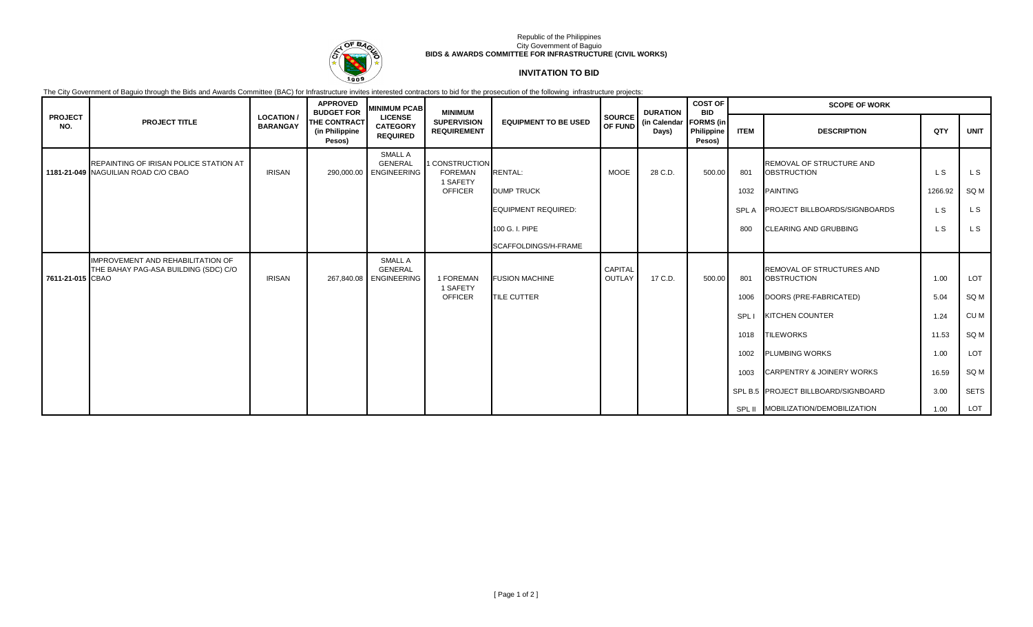

### Republic of the Philippines City Government of Baguio **BIDS & AWARDS COMMITTEE FOR INFRASTRUCTURE (CIVIL WORKS)**

# **INVITATION TO BID**

The City Government of Baguio through the Bids and Awards Committee (BAC) for Infrastructure invites interested contractors to bid for the prosecution of the following infrastructure projects:

|                       |                                                                               |                                     | <b>APPROVED</b><br><b>BUDGET FOR</b>     | <b>MINIMUM PCAB</b>                                  | <b>MINIMUM</b>                               |                             |                                 | <b>DURATION</b><br>(in Calendar   FORMS (in<br>Days) | <b>COST OF</b><br><b>BID</b> | <b>SCOPE OF WORK</b> |                                                 |         |             |
|-----------------------|-------------------------------------------------------------------------------|-------------------------------------|------------------------------------------|------------------------------------------------------|----------------------------------------------|-----------------------------|---------------------------------|------------------------------------------------------|------------------------------|----------------------|-------------------------------------------------|---------|-------------|
| <b>PROJECT</b><br>NO. | <b>PROJECT TITLE</b>                                                          | <b>LOCATION/</b><br><b>BARANGAY</b> | THE CONTRACT<br>(in Philippine<br>Pesos) | <b>LICENSE</b><br><b>CATEGORY</b><br><b>REQUIRED</b> | <b>SUPERVISION</b><br><b>REQUIREMENT</b>     | <b>EQUIPMENT TO BE USED</b> | <b>SOURCE</b><br><b>OF FUND</b> |                                                      | Philippine<br>Pesos)         | <b>ITEM</b>          | <b>DESCRIPTION</b>                              | QTY     | <b>UNIT</b> |
|                       | REPAINTING OF IRISAN POLICE STATION AT<br>1181-21-049 NAGUILIAN ROAD C/O CBAO | <b>IRISAN</b>                       | 290,000.00                               | SMALL A<br><b>GENERAL</b><br><b>ENGINEERING</b>      | 1 CONSTRUCTION<br><b>FOREMAN</b><br>1 SAFETY | <b>RENTAL:</b>              | <b>MOOE</b>                     | 28 C.D.                                              | 500.00                       | 801                  | REMOVAL OF STRUCTURE AND<br><b>OBSTRUCTION</b>  | L S     | L S         |
|                       |                                                                               |                                     |                                          |                                                      | <b>OFFICER</b>                               | <b>DUMP TRUCK</b>           |                                 |                                                      |                              | 1032                 | PAINTING                                        | 1266.92 | SQ M        |
|                       |                                                                               |                                     |                                          |                                                      |                                              | <b>EQUIPMENT REQUIRED:</b>  |                                 |                                                      |                              | <b>SPLA</b>          | <b>PROJECT BILLBOARDS/SIGNBOARDS</b>            | L S     | L S         |
|                       |                                                                               |                                     |                                          |                                                      |                                              | 100 G. I. PIPE              |                                 |                                                      |                              | 800                  | <b>CLEARING AND GRUBBING</b>                    | L S     | L S         |
|                       |                                                                               |                                     |                                          |                                                      |                                              | SCAFFOLDINGS/H-FRAME        |                                 |                                                      |                              |                      |                                                 |         |             |
| 7611-21-015 CBAO      | IMPROVEMENT AND REHABILITATION OF<br>THE BAHAY PAG-ASA BUILDING (SDC) C/O     | <b>IRISAN</b>                       | 267,840.08                               | SMALL A<br><b>GENERAL</b><br><b>ENGINEERING</b>      | 1 FOREMAN<br>1 SAFETY                        | <b>FUSION MACHINE</b>       | <b>CAPITAL</b><br>OUTLAY        | 17 C.D.                                              | 500.00                       | 801                  | REMOVAL OF STRUCTURES AND<br><b>OBSTRUCTION</b> | 1.00    | LOT         |
|                       |                                                                               |                                     |                                          |                                                      | <b>OFFICER</b>                               | <b>TILE CUTTER</b>          |                                 |                                                      |                              | 1006                 | DOORS (PRE-FABRICATED)                          | 5.04    | SQ M        |
|                       |                                                                               |                                     |                                          |                                                      |                                              |                             |                                 |                                                      |                              | SPL I                | <b>KITCHEN COUNTER</b>                          | 1.24    | CU M        |
|                       |                                                                               |                                     |                                          |                                                      |                                              |                             |                                 |                                                      |                              | 1018                 | <b>TILEWORKS</b>                                | 11.53   | SQ M        |
|                       |                                                                               |                                     |                                          |                                                      |                                              |                             |                                 |                                                      |                              | 1002                 | <b>PLUMBING WORKS</b>                           | 1.00    | LOT         |
|                       |                                                                               |                                     |                                          |                                                      |                                              |                             |                                 |                                                      |                              | 1003                 | <b>CARPENTRY &amp; JOINERY WORKS</b>            | 16.59   | SQ M        |
|                       |                                                                               |                                     |                                          |                                                      |                                              |                             |                                 |                                                      |                              |                      | SPL B.5 PROJECT BILLBOARD/SIGNBOARD             | 3.00    | <b>SETS</b> |
|                       |                                                                               |                                     |                                          |                                                      |                                              |                             |                                 |                                                      |                              |                      | SPL II MOBILIZATION/DEMOBILIZATION              | 1.00    | LOT         |